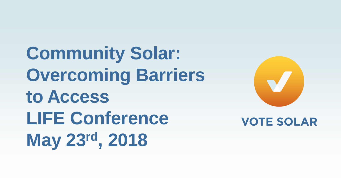**Community Solar: Overcoming Barriers to Access LIFE Conference May 23rd, 2018**



#### **VOTE SOLAR**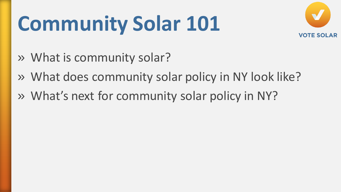# **Community Solar 101**



- » What is community solar?
- » What does community solar policy in NY look like?
- » What's next for community solar policy in NY?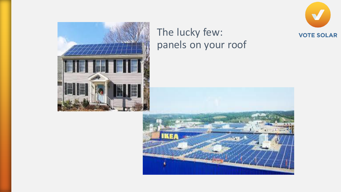



#### The lucky few: panels on your roof

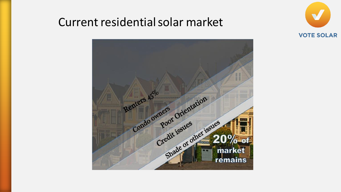#### Current residential solar market



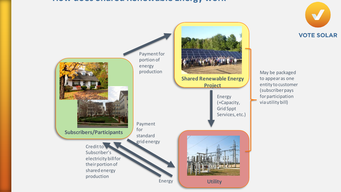#### **How does Shared Renewable Energy work**



**VOTE SOLAR**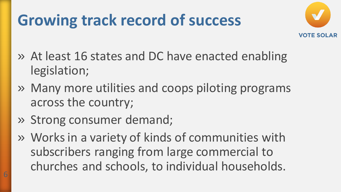## **Growing track record of success**



- » At least 16 states and DC have enacted enabling legislation;
- » Many more utilities and coops piloting programs across the country;
- » Strong consumer demand;

6

» Works in a variety of kinds of communities with subscribers ranging from large commercial to churches and schools, to individual households.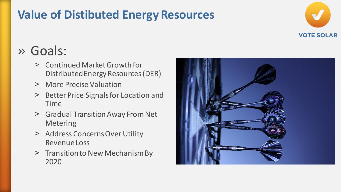### **Value of Distibuted Energy Resources**



### » Goals:

- ˃ Continued Market Growth for Distributed Energy Resources (DER)
- > More Precise Valuation
- ˃ Better Price Signals for Location and Time
- > Gradual Transition Away From Net Metering
- > Address Concerns Over Utility Revenue Loss
- > Transition to New Mechanism By 2020

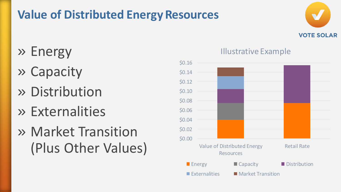### **Value of Distributed Energy Resources**



- » Energy
- » Capacity
- » Distribution
- » Externalities
- » Market Transition (Plus Other Values)



#### Illustrative Example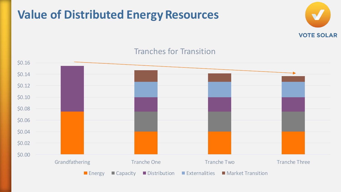### **Value of Distributed Energy Resources**



#### Tranches for Transition

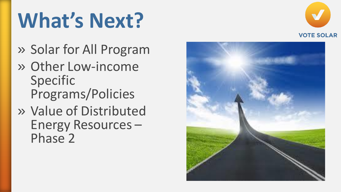## **What's Next?**

- » Solar for All Program
- » Other Low-income Specific Programs/Policies
- » Value of Distributed Energy Resources – Phase 2